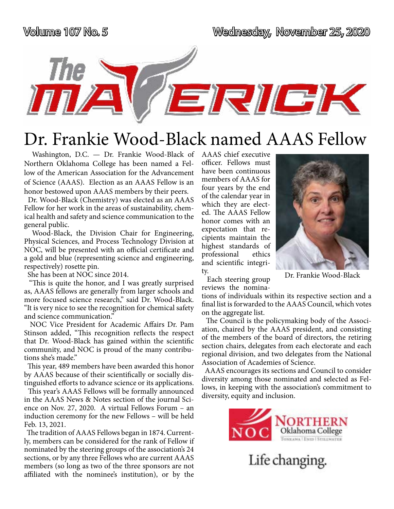The

Volume 107 No. 5 Wednesday, November 25, 2020

ERIGK

Dr. Frankie Wood-Black named AAAS Fellow

 Washington, D.C. — Dr. Frankie Wood-Black of Northern Oklahoma College has been named a Fellow of the American Association for the Advancement of Science (AAAS). Election as an AAAS Fellow is an honor bestowed upon AAAS members by their peers.

 Dr. Wood-Black (Chemistry) was elected as an AAAS Fellow for her work in the areas of sustainability, chemical health and safety and science communication to the general public.

 Wood-Black, the Division Chair for Engineering, Physical Sciences, and Process Technology Division at NOC, will be presented with an official certificate and a gold and blue (representing science and engineering, respectively) rosette pin.

She has been at NOC since 2014.

 "This is quite the honor, and I was greatly surprised as, AAAS fellows are generally from larger schools and more focused science research," said Dr. Wood-Black. "It is very nice to see the recognition for chemical safety and science communication."

 NOC Vice President for Academic Affairs Dr. Pam Stinson added, "This recognition reflects the respect that Dr. Wood-Black has gained within the scientific community, and NOC is proud of the many contributions she's made."

 This year, 489 members have been awarded this honor by AAAS because of their scientifically or socially distinguished efforts to advance science or its applications.

 This year's AAAS Fellows will be formally announced in the AAAS News & Notes section of the journal Science on Nov. 27, 2020. A virtual Fellows Forum – an induction ceremony for the new Fellows – will be held Feb. 13, 2021.

 The tradition of AAAS Fellows began in 1874. Currently, members can be considered for the rank of Fellow if nominated by the steering groups of the association's 24 sections, or by any three Fellows who are current AAAS members (so long as two of the three sponsors are not affiliated with the nominee's institution), or by the

AAAS chief executive officer. Fellows must have been continuous members of AAAS for four years by the end of the calendar year in which they are elected. The AAAS Fellow honor comes with an expectation that recipients maintain the highest standards of professional ethics and scientific integrity.



 Each steering group reviews the nomina-

tions of individuals within its respective section and a final list is forwarded to the AAAS Council, which votes on the aggregate list.

 The Council is the policymaking body of the Association, chaired by the AAAS president, and consisting of the members of the board of directors, the retiring section chairs, delegates from each electorate and each regional division, and two delegates from the National Association of Academies of Science.

 AAAS encourages its sections and Council to consider diversity among those nominated and selected as Fellows, in keeping with the association's commitment to diversity, equity and inclusion.

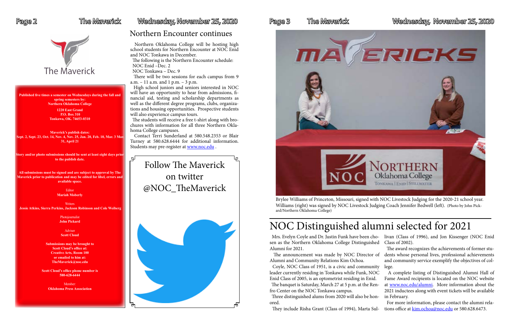

### **Published five times a semester on Wednesdays during the fall and**

**spring semesters by: Northern Oklahoma College 1220 East Grand P.O. Box 310 Tonkawa, OK. 74653-0310**

**Maverick's publish dates: Sept. 2, Sept. 23, Oct. 14, Nov. 4, Nov. 25, Jan. 20, Feb. 10, Mar. 3 Mar. 31, April 21**

**Writers Jessie Atkins, Sierra Perkins, Jackson Robinson and Cole Weiberg**

**Story and/or photo submissions should be sent at least eight days prior to the publish date.** 

> **Member Oklahoma Press Association**

### Page 2 Filhe Maverick Wednesday, November 25, 2020

**All submissions must be signed and are subject to approval by The Maverick prior to publication and may be edited for libel, errors and available space.**

> Editor **Mariah Moberly**

Photojournalist **John Pickard**

> Adviser **Scott Cloud**

**Submissions may be brought to Scott Cloud's office at: Creative Arts, Room 100 or emailed to him at: TheMaverick@noc.edu**

**Scott Cloud's office phone number is 580-628-6444**

 Contact Terri Sunderland at 580.548.2353 or Blair Turney at 580.628.6444 for additional information. Students may pre-register at [www.noc.edu](http://www.noc.edu).

Follow The Maverick on twitter @NOC\_TheMaverick





## Northern Encounter continues

 Northern Oklahoma College will be hosting high school students for Northern Encounter at NOC Enid and NOC Tonkawa in December.

> Mrs. Evelyn Coyle and Dr. Justin Funk have been ch sen as the Northern Oklahoma College Distinguish Alumni for 2021.

> The announcement was made by NOC Director Alumni and Community Relations Kim Ochoa.

 The following is the Northern Encounter schedule: NOC Enid –Dec. 2

NOC Tonkawa – Dec. 9

Coyle, NOC Class of 1951, is a civic and commun leader currently residing in Tonkawa while Funk, NO Enid Class of 2005, is an optometrist residing in Enid. The banquet is Saturday, March 27 at 5 p.m. at the Re fro Center on the NOC Tonkawa campus.

 There will be two sessions for each campus from 9 a.m. – 11 a.m. and 1 p.m. – 3 p.m.

 High school juniors and seniors interested in NOC will have an opportunity to hear from admissions, financial aid, testing and scholarship departments as well as the different degree programs, clubs, organizations and housing opportunities. Prospective students will also experience campus tours.

 The students will receive a free t-shirt along with brochures with information for all three Northern Oklahoma College campuses.

> Brylee Williams of Princeton, Missouri, signed with NOC Livestock Judging for the 2020-21 school year. Williams (right) was signed by NOC Livestock Judging Coach Jennifer Bedwell (left). (Photo by John Pickard/Northern Oklahoma College)

They include Risha Grant (Class of 1994), Marta Sul-

## Page 3 The Maverick Wednesday, November 25, 2020

|     | no- livan (Class of 1996), and Jon Kissenger (NOC Enid    |
|-----|-----------------------------------------------------------|
|     | ed Class of 2002).                                        |
|     | The award recognizes the achievements of former stu-      |
|     | of dents whose personal lives, professional achievements  |
|     | and community service exemplify the objectives of col-    |
| ity | lege.                                                     |
| ЭC  | A complete listing of Distinguished Alumni Hall of        |
| 1.  | Fame Award recipients is located on the NOC website       |
| en- | at www.noc.edu/alumni. More information about the         |
|     | 2021 inductees along with event tickets will be available |
|     |                                                           |

 Three distinguished alums from 2020 will also be hon-in February. ored. For more information, please contact the alumni relations office at [kim.ochoa@noc.edu](mailto:kim.ochoa@noc.edu) or 580.628.6473.

# NOC Distinguished alumni selected for 2021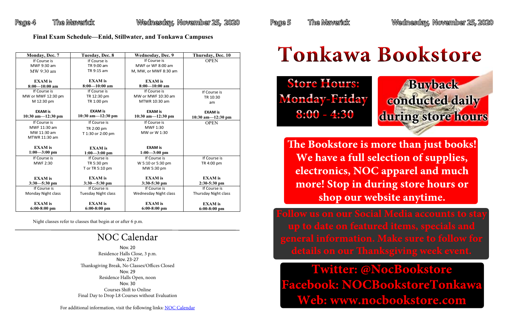**Twitter: @NocBookstore Facebook: NOCBookstoreTonkawa Web: www.nocbookstore.com**

Page 4 The Maverick Wednesday, November 25, 2020 Page 5 The Maverick Wednesday, November 25, 2020

**e Bookstore is more than just books! We have a full selection of supplies, electronics, NOC apparel and much more! Stop in during store hours or shop our website anytime.**



**Store Hours: Monday-Friday 8:00 - 4:30**

# **Tonkawa Bookstore**

### **Final Exam Schedule—Enid, Stillwater, and Tonkawa Campuses**

Night classes refer to classes that begin at or after 6 p.m.

| Monday, Dec. 7       | Tuesday, Dec. 8             | <b>Wednesday, Dec. 9</b> | Thursday, Dec. 10           |  |
|----------------------|-----------------------------|--------------------------|-----------------------------|--|
| If Course is         | If Course is                | If Course is             | <b>OPEN</b>                 |  |
| MWF 9:30 am          | TR 9:00 am                  | MWF or WF 8:00 am        |                             |  |
| MW 9:30 am           | TR 9:15 am                  | M, MW, or MWF 8:30 am    |                             |  |
|                      |                             |                          |                             |  |
| <b>EXAM</b> is       | <b>EXAM</b> is              | <b>EXAM</b> is           |                             |  |
| $8:00 - 10:00$ am    | $8:00 - 10:00$ am           | $8:00 - 10:00$ am        |                             |  |
| If Course is         | If Course is                | If Course is             | If Course is                |  |
| MW or MWF 12:30 pm   | TR 12:30 pm                 | MW or MWF 10:30 am       | TR 10:30                    |  |
| M 12:30 pm           | TR 1:00 pm<br>MTWR 10:30 am |                          | am                          |  |
|                      |                             |                          |                             |  |
| <b>EXAM is</b>       | <b>EXAM is</b>              | <b>EXAM is</b>           | <b>EXAM is</b>              |  |
| 10:30 am $-12:30$ pm | $10:30$ am $-12:30$ pm      | 10:30 am $-12:30$ pm     | 10:30 am $-12:30$ pm        |  |
| If Course is         | If Course is                | If Course is             | <b>OPEN</b>                 |  |
| MWF 11:30 am         | TR 2:00 pm                  | MWF 1:30                 |                             |  |
| MW 11:30 am          | T 1:30 or 2:00 pm           | MW or W 1:30             |                             |  |
| MTWR 11:30 am        |                             |                          |                             |  |
|                      |                             |                          |                             |  |
| <b>EXAM</b> is       | <b>EXAM</b> is              | <b>EXAM is</b>           |                             |  |
| $1:00 - 3:00$ pm     | $1:00 - 3:00$ pm            | $1:00 - 3:00$ pm         |                             |  |
| If Course is         | If Course is                | If Course is             | If Course is                |  |
| <b>MWF 2:30</b>      | TR 5:30 pm                  | W 5:10 or 5:30 pm        | TR 4:00 pm                  |  |
|                      | T or TR 5:10 pm             | MW 5:30 pm               |                             |  |
|                      |                             |                          |                             |  |
| <b>EXAM</b> is       | <b>EXAM</b> is              | <b>EXAM</b> is           | <b>EXAM</b> is              |  |
| $3:30 - 5:30$ pm     | $3:30 - 5:30$ pm            | 3:30-5:30 pm             | $2:30-5:30$ pm              |  |
| If Course is         | If Course is                | If Course is             | If Course is                |  |
| Monday Night class   | <b>Tuesday Night class</b>  | Wednesday Night class    | <b>Thursday Night class</b> |  |
|                      |                             |                          |                             |  |
| <b>EXAM</b> is       | <b>EXAM</b> is              | <b>EXAM</b> is           | <b>EXAM</b> is              |  |
| $6:00-8:00$ pm       | $6:00-8:00$ pm              | $6:00-8:00$ pm           | $6:00-8:00$ pm              |  |

# NOC Calendar

Nov. 20 Residence Halls Close, 3 p.m. Nov. 23-27 Thanksgiving Break, No Classes/Offices Closed Nov. 29 Residence Halls Open, noon Nov. 30 Courses Shift to Online Final Day to Drop L8 Courses without Evaluation

For additional information, visit the following links: [NOC Calendar](http://www.noc.edu/calendar)